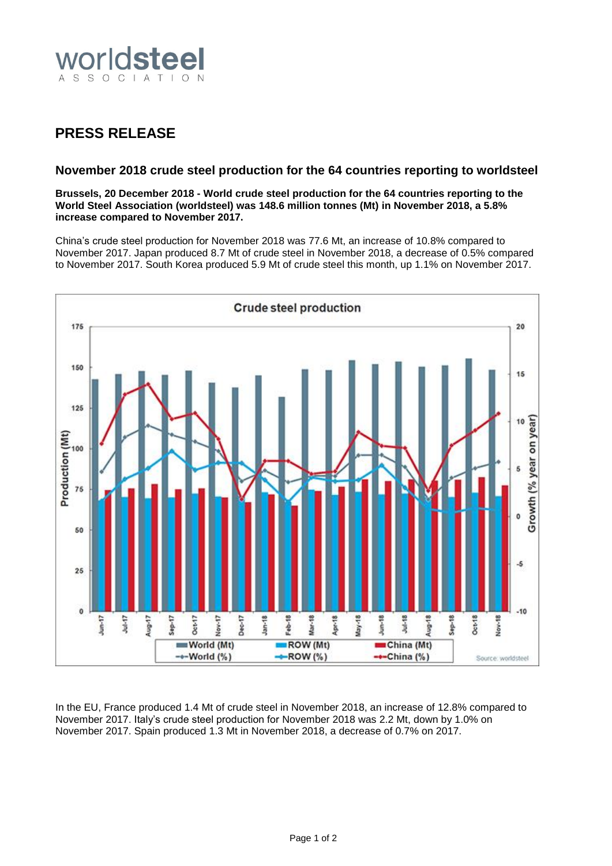

## **PRESS RELEASE**

## **November 2018 crude steel production for the 64 countries reporting to worldsteel**

**Brussels, 20 December 2018 - World crude steel production for the 64 countries reporting to the World Steel Association (worldsteel) was 148.6 million tonnes (Mt) in November 2018, a 5.8% increase compared to November 2017.**

China's crude steel production for November 2018 was 77.6 Mt, an increase of 10.8% compared to November 2017. Japan produced 8.7 Mt of crude steel in November 2018, a decrease of 0.5% compared to November 2017. South Korea produced 5.9 Mt of crude steel this month, up 1.1% on November 2017.



In the EU, France produced 1.4 Mt of crude steel in November 2018, an increase of 12.8% compared to November 2017. Italy's crude steel production for November 2018 was 2.2 Mt, down by 1.0% on November 2017. Spain produced 1.3 Mt in November 2018, a decrease of 0.7% on 2017.